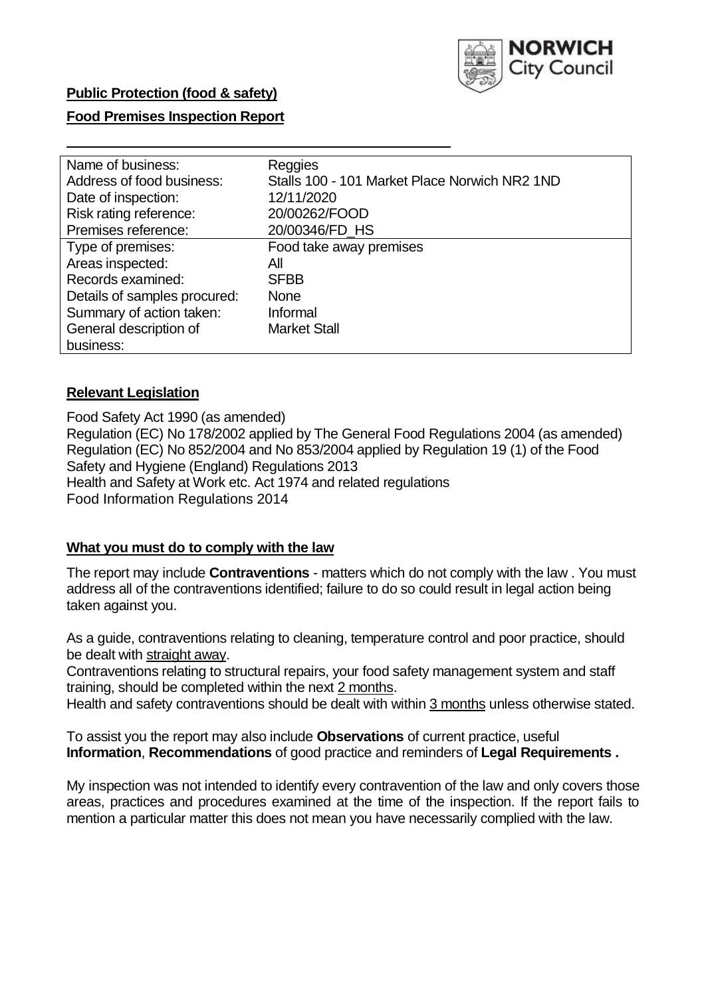

### **Public Protection (food & safety)**

### **Food Premises Inspection Report**

| Name of business:            | Reggies                                       |
|------------------------------|-----------------------------------------------|
| Address of food business:    | Stalls 100 - 101 Market Place Norwich NR2 1ND |
| Date of inspection:          | 12/11/2020                                    |
| Risk rating reference:       | 20/00262/FOOD                                 |
| Premises reference:          | 20/00346/FD_HS                                |
| Type of premises:            | Food take away premises                       |
| Areas inspected:             | Αll                                           |
| Records examined:            | <b>SFBB</b>                                   |
| Details of samples procured: | <b>None</b>                                   |
| Summary of action taken:     | Informal                                      |
| General description of       | <b>Market Stall</b>                           |
| business:                    |                                               |

#### **Relevant Legislation**

 Food Safety Act 1990 (as amended) Regulation (EC) No 178/2002 applied by The General Food Regulations 2004 (as amended) Regulation (EC) No 852/2004 and No 853/2004 applied by Regulation 19 (1) of the Food Safety and Hygiene (England) Regulations 2013 Health and Safety at Work etc. Act 1974 and related regulations Food Information Regulations 2014

#### **What you must do to comply with the law**

 The report may include **Contraventions** - matters which do not comply with the law . You must address all of the contraventions identified; failure to do so could result in legal action being taken against you.

 As a guide, contraventions relating to cleaning, temperature control and poor practice, should be dealt with straight away.

 Contraventions relating to structural repairs, your food safety management system and staff training, should be completed within the next 2 months.

Health and safety contraventions should be dealt with within 3 months unless otherwise stated.

 To assist you the report may also include **Observations** of current practice, useful **Information**, **Recommendations** of good practice and reminders of **Legal Requirements .** 

 My inspection was not intended to identify every contravention of the law and only covers those areas, practices and procedures examined at the time of the inspection. If the report fails to mention a particular matter this does not mean you have necessarily complied with the law.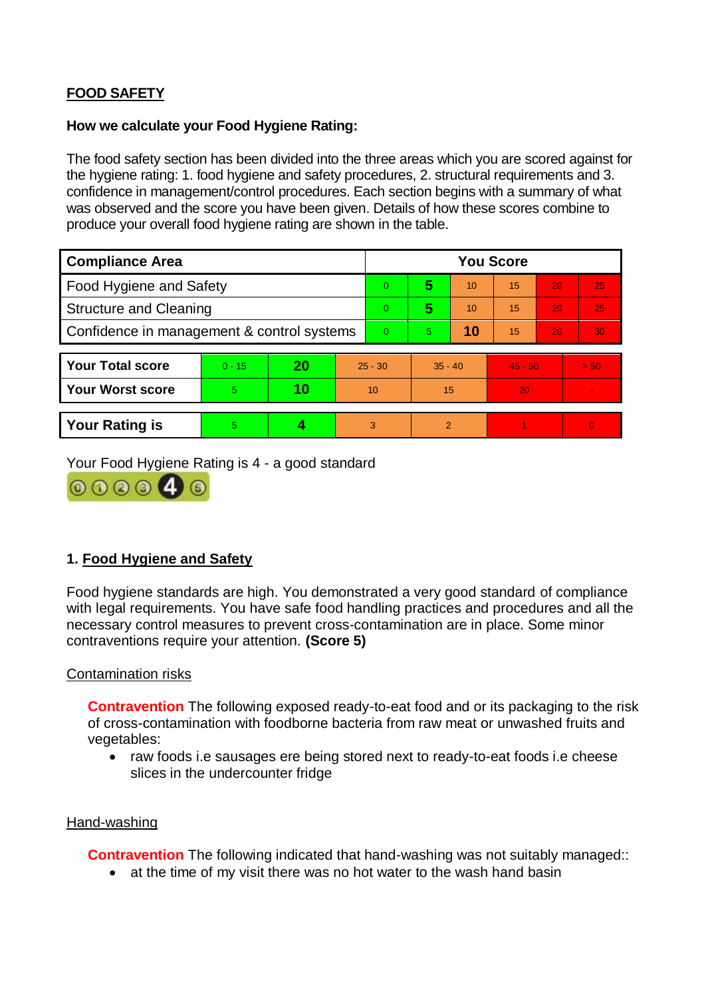# **FOOD SAFETY**

#### **How we calculate your Food Hygiene Rating:**

 The food safety section has been divided into the three areas which you are scored against for the hygiene rating: 1. food hygiene and safety procedures, 2. structural requirements and 3. confidence in management/control procedures. Each section begins with a summary of what was observed and the score you have been given. Details of how these scores combine to produce your overall food hygiene rating are shown in the table.

| <b>Compliance Area</b>                     |          |    |           | <b>You Score</b> |                |    |           |    |                |  |  |
|--------------------------------------------|----------|----|-----------|------------------|----------------|----|-----------|----|----------------|--|--|
| Food Hygiene and Safety                    |          |    |           | $\Omega$         | 5              | 10 | 15        | 20 | 25             |  |  |
| <b>Structure and Cleaning</b>              |          |    |           | $\Omega$         | 5              | 10 | 15        | 20 | 25             |  |  |
| Confidence in management & control systems |          |    | $\Omega$  | 5.               | 10             | 15 | 20        | 30 |                |  |  |
|                                            |          |    |           |                  |                |    |           |    |                |  |  |
| <b>Your Total score</b>                    | $0 - 15$ | 20 | $25 - 30$ |                  | $35 - 40$      |    | $45 - 50$ |    | > 50           |  |  |
| <b>Your Worst score</b>                    | 5        | 10 | 10        |                  | 15             |    | 20        |    | $\blacksquare$ |  |  |
|                                            |          |    |           |                  |                |    |           |    |                |  |  |
| <b>Your Rating is</b>                      | 5        |    |           | 3                | $\overline{2}$ |    |           |    | $\Omega$       |  |  |

Your Food Hygiene Rating is 4 - a good standard



# **1. Food Hygiene and Safety**

 with legal requirements. You have safe food handling practices and procedures and all the necessary control measures to prevent cross-contamination are in place. Some minor Food hygiene standards are high. You demonstrated a very good standard of compliance contraventions require your attention. **(Score 5)** 

### Contamination risks

 of cross-contamination with foodborne bacteria from raw meat or unwashed fruits and **Contravention** The following exposed ready-to-eat food and or its packaging to the risk vegetables:

• raw foods i.e sausages ere being stored next to ready-to-eat foods i.e cheese slices in the undercounter fridge

#### Hand-washing

**Contravention** The following indicated that hand-washing was not suitably managed::

• at the time of my visit there was no hot water to the wash hand basin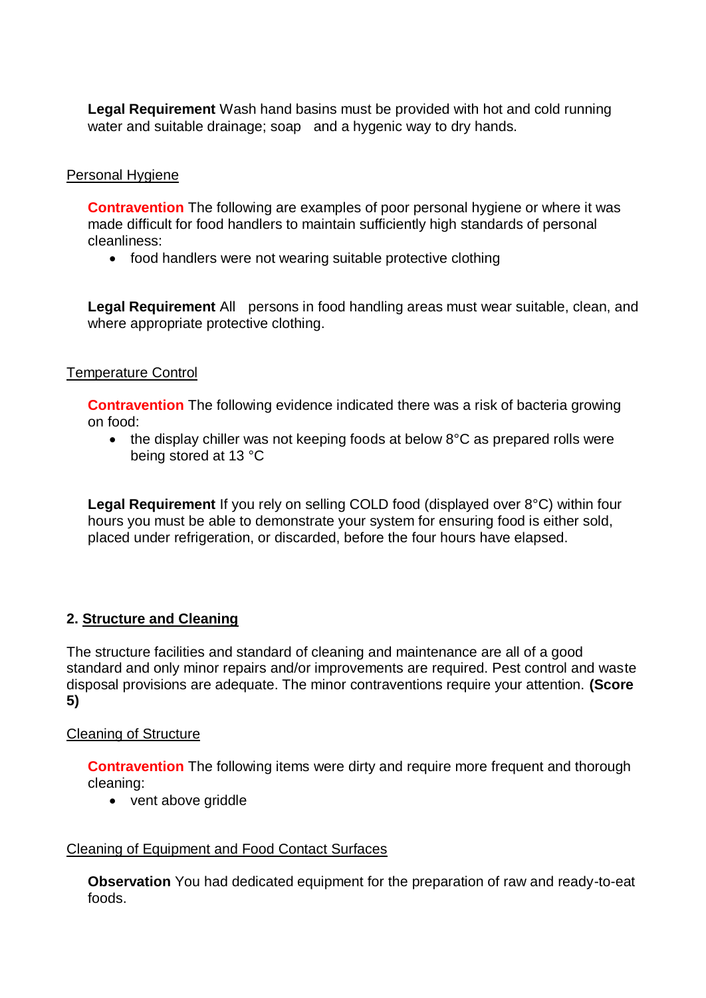**Legal Requirement** Wash hand basins must be provided with hot and cold running water and suitable drainage; soap and a hygenic way to dry hands.

### Personal Hygiene

 **Contravention** The following are examples of poor personal hygiene or where it was made difficult for food handlers to maintain sufficiently high standards of personal cleanliness:

• food handlers were not wearing suitable protective clothing

 **Legal Requirement** All persons in food handling areas must wear suitable, clean, and where appropriate protective clothing.

### Temperature Control

**Contravention** The following evidence indicated there was a risk of bacteria growing on food:

• the display chiller was not keeping foods at below 8°C as prepared rolls were being stored at 13 °C

**Legal Requirement** If you rely on selling COLD food (displayed over 8°C) within four hours you must be able to demonstrate your system for ensuring food is either sold, placed under refrigeration, or discarded, before the four hours have elapsed.

# **2. Structure and Cleaning**

The structure facilities and standard of cleaning and maintenance are all of a good standard and only minor repairs and/or improvements are required. Pest control and waste disposal provisions are adequate. The minor contraventions require your attention. **(Score 5)** 

### Cleaning of Structure

**Contravention** The following items were dirty and require more frequent and thorough cleaning:

• vent above griddle

### Cleaning of Equipment and Food Contact Surfaces

**Observation** You had dedicated equipment for the preparation of raw and ready-to-eat foods.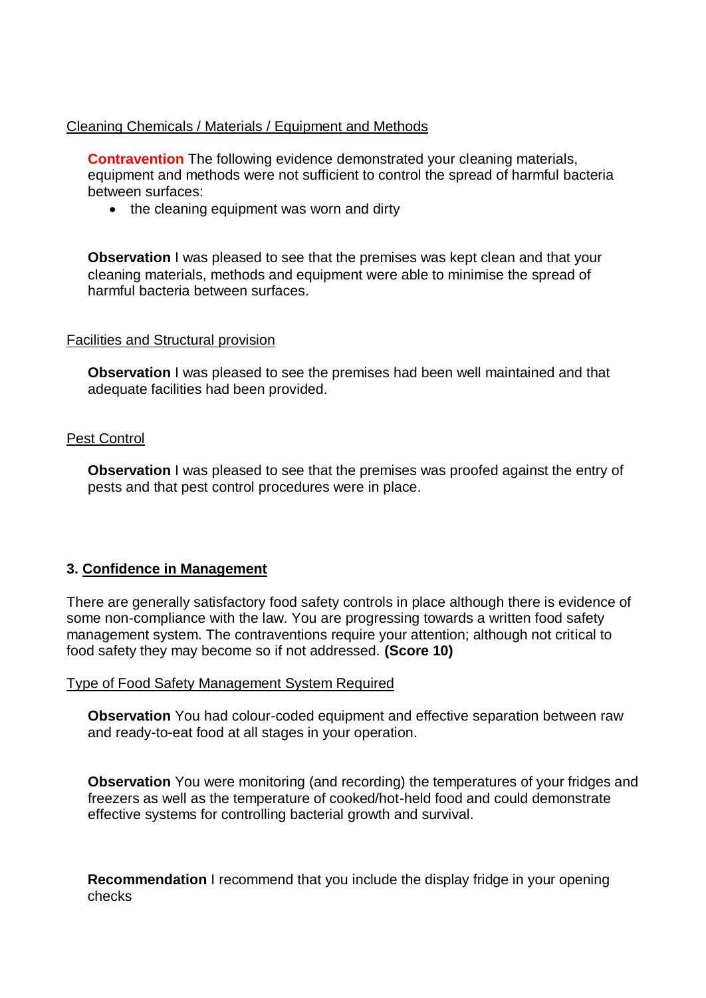### Cleaning Chemicals / Materials / Equipment and Methods

**Contravention** The following evidence demonstrated your cleaning materials, equipment and methods were not sufficient to control the spread of harmful bacteria between surfaces:

• the cleaning equipment was worn and dirty

**Observation** I was pleased to see that the premises was kept clean and that your cleaning materials, methods and equipment were able to minimise the spread of harmful bacteria between surfaces.

### Facilities and Structural provision

**Observation** I was pleased to see the premises had been well maintained and that adequate facilities had been provided.

### Pest Control

**Observation** I was pleased to see that the premises was proofed against the entry of pests and that pest control procedures were in place.

# **3. Confidence in Management**

 There are generally satisfactory food safety controls in place although there is evidence of management system. The contraventions require your attention; although not critical to some non-compliance with the law. You are progressing towards a written food safety food safety they may become so if not addressed. **(Score 10)** 

### Type of Food Safety Management System Required

**Observation** You had colour-coded equipment and effective separation between raw and ready-to-eat food at all stages in your operation.

 **Observation** You were monitoring (and recording) the temperatures of your fridges and freezers as well as the temperature of cooked/hot-held food and could demonstrate effective systems for controlling bacterial growth and survival.

**Recommendation** I recommend that you include the display fridge in your opening checks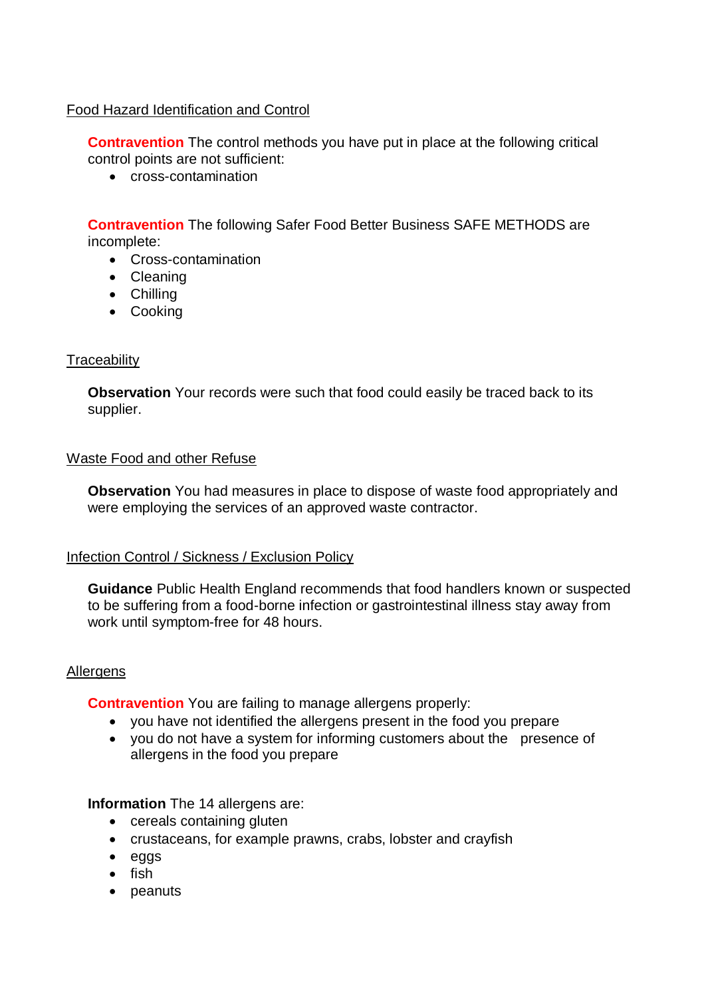### Food Hazard Identification and Control

**Contravention** The control methods you have put in place at the following critical control points are not sufficient:

• cross-contamination

**Contravention** The following Safer Food Better Business SAFE METHODS are incomplete:

- Cross-contamination
- Cleaning
- Chilling
- Cooking

### **Traceability**

**Observation** Your records were such that food could easily be traced back to its supplier.

#### Waste Food and other Refuse

**Observation** You had measures in place to dispose of waste food appropriately and were employing the services of an approved waste contractor.

#### Infection Control / Sickness / Exclusion Policy

 to be suffering from a food-borne infection or gastrointestinal illness stay away from **Guidance** Public Health England recommends that food handlers known or suspected work until symptom-free for 48 hours.

#### Allergens

**Contravention** You are failing to manage allergens properly:

- you have not identified the allergens present in the food you prepare
- you do not have a system for informing customers about the presence of allergens in the food you prepare

#### **Information** The 14 allergens are:

- cereals containing gluten
- crustaceans, for example prawns, crabs, lobster and crayfish
- eggs
- $\bullet$  fish
- peanuts